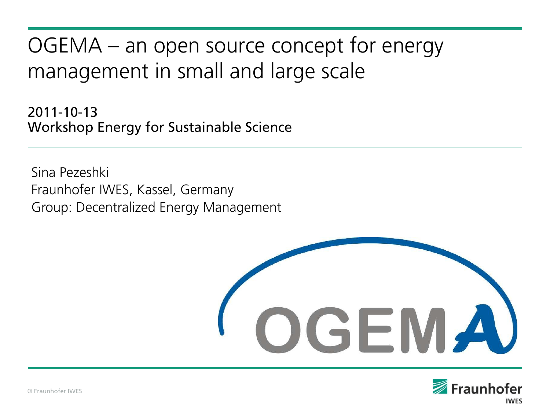# OGEMA – an open source concept for energy management in small and large scale

2011-10-13 Workshop Energy for Sustainable Science

Sina Pezeshki Fraunhofer IWES, Kassel, Germany Group: Decentralized Energy Management



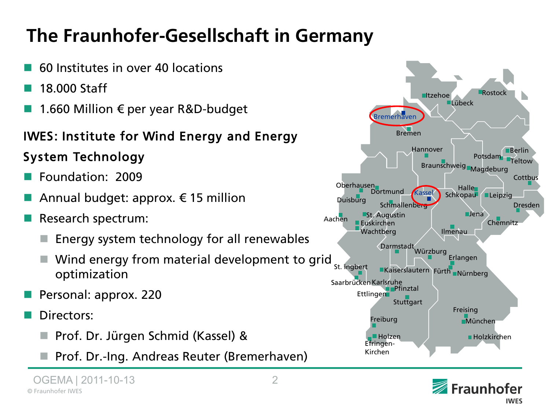# **The Fraunhofer-Gesellschaft in Germany**

- 60 Institutes in over 40 locations
- 18.000 Staff
- 1.660 Million  $\epsilon$  per year R&D-budget

#### IWES: Institute for Wind Energy and Energy

#### System Technology

- Foundation: 2009
- Annual budget: approx.  $\epsilon$  15 million
- Research spectrum:
	- Energy system technology for all renewables
	- Wind energy from material development to grid  $_{\rm st.~ingbert}$ optimization
- Personal: approx. 220
- Directors:
	- Prof. Dr. Jürgen Schmid (Kassel) &
	- Prof. Dr.-Ing. Andreas Reuter (Bremerhaven)



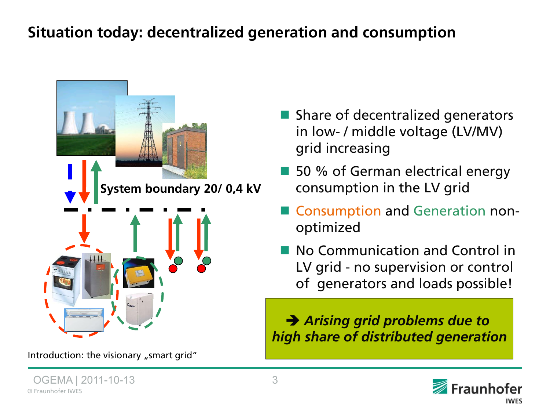### **Situation today: decentralized generation and consumption**



Introduction: the visionary "smart grid"

- **Share of decentralized generators** in low- / middle voltage (LV/MV) grid increasing
- 50 % of German electrical energy consumption in the LV grid
- Consumption and Generation nonoptimized
- No Communication and Control in LV grid - no supervision or control of generators and loads possible!

Î *Arising grid problems due to high share of distributed generation*

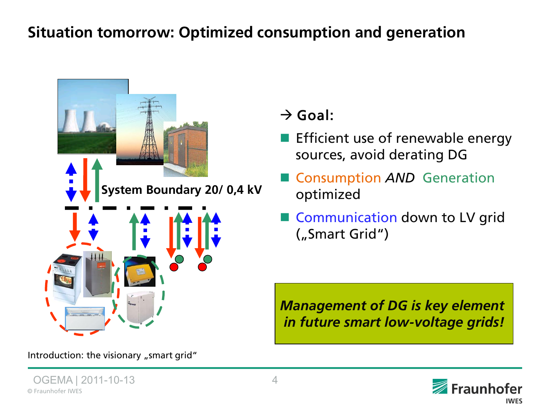### **Situation tomorrow: Optimized consumption and generation**



Introduction: the visionary "smart grid"

 $\rightarrow$  Goal:

- Efficient use of renewable energy sources, avoid derating DG
- **Consumption AND Generation** optimized
- Communication down to LV grid ("Smart Grid")

**Management of DG is key element** in future smart low-voltage grids!

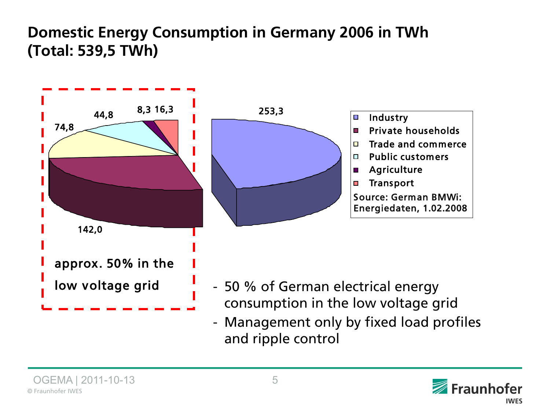### **Domestic Energy Consumption in Germany 2006 in TWh (Total: 539,5 TWh)**



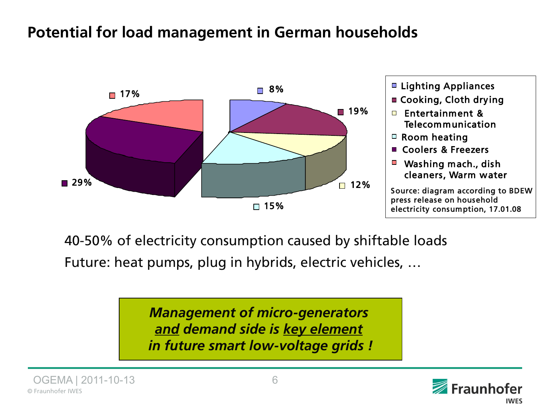### **Potential for load management in German households**



40-50% of electricity consumption caused by shiftable loads

Future: heat pumps, plug in hybrids, electric vehicles, ...

*Management of micro-generators and demand side is key element in future smart low-voltage grids !*





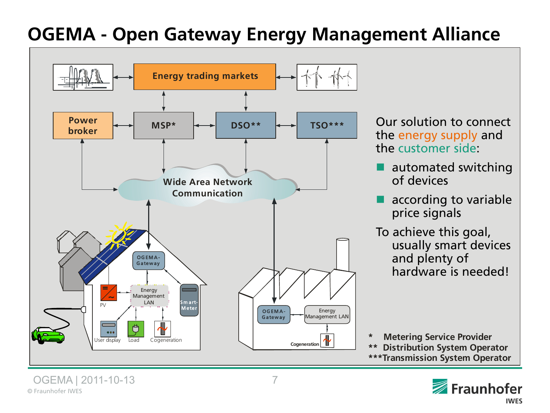## **OGEMA - Open Gateway Energy Management Alliance**



Our solution to connect the energy supply and the customer side:

- automated switching of devices
- according to variable price signals
- To achieve this goal, usually smart devices and plenty of hardware is needed!

**\* Metering Service Provider \*\* Distribution System Operator \*\*\*Transmission System Operator**

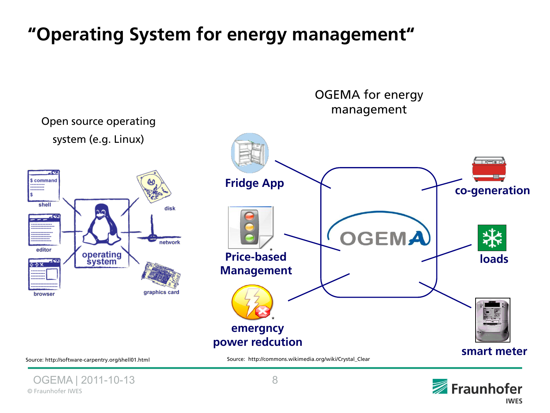# "Operating System for energy management"

management Open source operating system (e.g. Linux) \$ command **Fridge App co-generation** shell disk OGEMA network editor Price-based operating<br>system **loads Management** graphics card browser \***emergncy power redcution smart meter** Source: http://software-carpentry.org/shell01.html Source: http://commons.wikimedia.org/wiki/Crystal\_Clear

OGEMA for energy



© Fraunhofer IWES OGEMA | 2011-10-13 8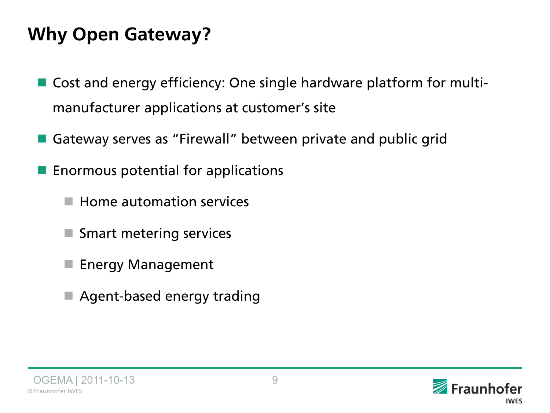## **Why Open Gateway?**

- Cost and energy efficiency: One single hardware platform for multimanufacturer applications at customer's site
- Gateway serves as "Firewall" between private and public grid
- Enormous potential for applications
	- Home automation services
	- **Smart metering services**
	- **Energy Management**
	- Agent-based energy trading



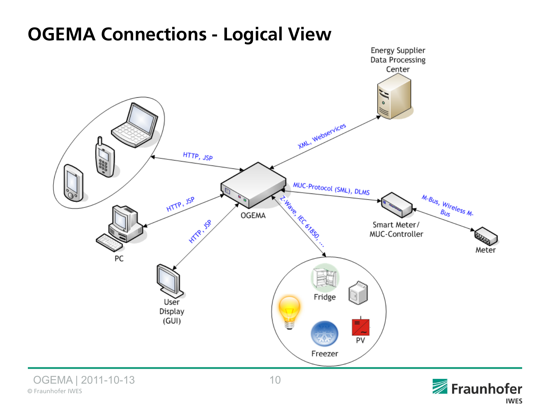### **OGEMA Connections - Logical View**





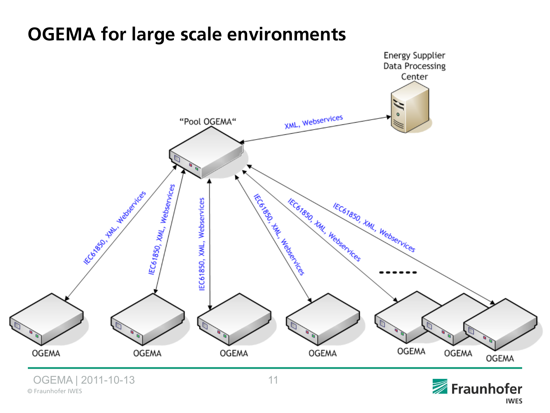### **OGEMA for large scale environments**



© Fraunhofer IWES

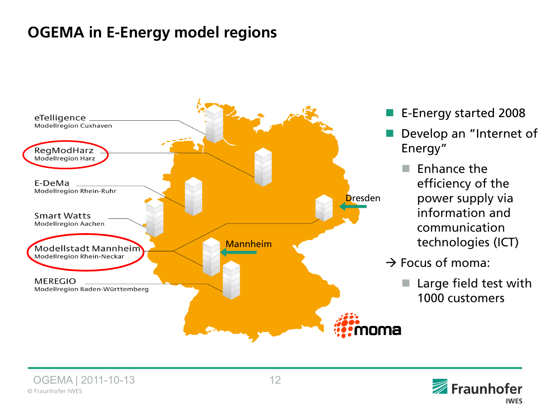### **OGEMA in E-Energy model regions**



- E-Energy started 2008
- Develop an "Internet of Energy"
	- Enhance the efficiency of the power supply via information and communication technologies (ICT)
- $\rightarrow$  Focus of moma:
	- Large field test with 1000 customers

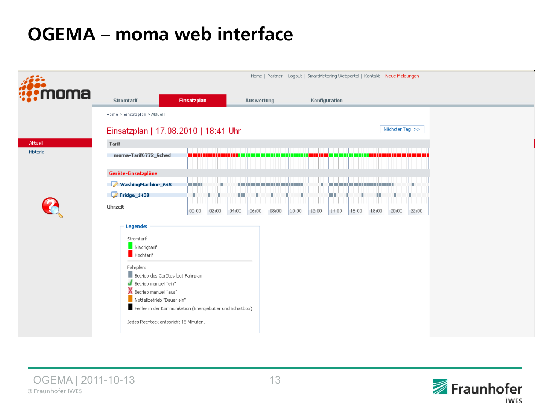## **OGEMA** – moma web interface



© Fraunhofer IWES OGEMA | 2011-10-13 13

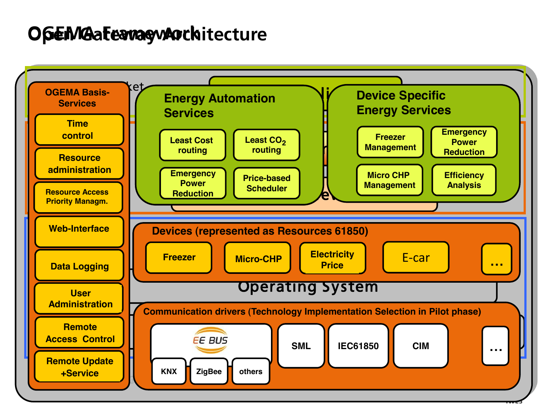### O**pEMGaFeavagyArchitecture**

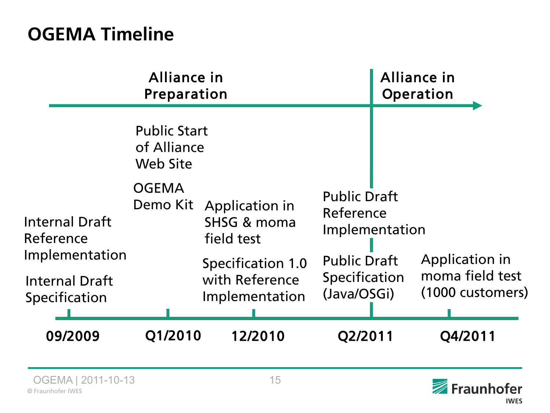## **OGEMA Timeline**

|                                                                                                | Alliance in<br>Preparation                            |                                                                                        |                                                     | <b>Alliance in</b><br>Operation |                                                       |
|------------------------------------------------------------------------------------------------|-------------------------------------------------------|----------------------------------------------------------------------------------------|-----------------------------------------------------|---------------------------------|-------------------------------------------------------|
|                                                                                                | <b>Public Start</b><br>of Alliance<br><b>Web Site</b> |                                                                                        |                                                     |                                 |                                                       |
| <b>Internal Draft</b><br>Reference<br>Implementation<br><b>Internal Draft</b><br>Specification | <b>OGEMA</b><br>Demo Kit                              | <b>Public Draft</b><br><b>Application in</b><br>Reference<br>SHSG & moma<br>field test |                                                     | Implementation                  |                                                       |
|                                                                                                |                                                       | Specification 1.0<br>with Reference<br>Implementation                                  | <b>Public Draft</b><br>Specification<br>(Java/OSGi) |                                 | Application in<br>moma field test<br>(1000 customers) |
| 09/2009                                                                                        | Q1/2010                                               | 12/2010                                                                                | Q2/2011                                             |                                 | Q4/2011                                               |